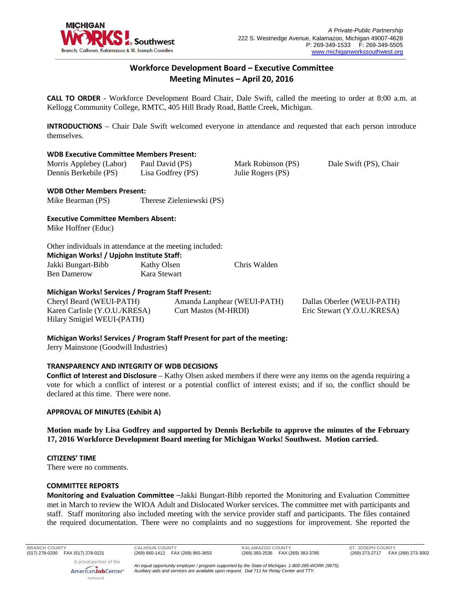

# **Workforce Development Board – Executive Committee Meeting Minutes – April 20, 2016**

**CALL TO ORDER** - Workforce Development Board Chair, Dale Swift, called the meeting to order at 8:00 a.m. at Kellogg Community College, RMTC, 405 Hill Brady Road, Battle Creek, Michigan.

**INTRODUCTIONS** – Chair Dale Swift welcomed everyone in attendance and requested that each person introduce themselves.

#### **WDB Executive Committee Members Present:**

| Morris Applebey (Labor) | Paul David (PS)   | Mark Robinson (PS) | Dale Swift (PS), Chair |
|-------------------------|-------------------|--------------------|------------------------|
| Dennis Berkebile (PS)   | Lisa Godfrey (PS) | Julie Rogers (PS)  |                        |
|                         |                   |                    |                        |

#### **WDB Other Members Present:**

| Mike Bearman (PS) | Therese Zieleniewski (PS) |  |
|-------------------|---------------------------|--|
|                   |                           |  |

## **Executive Committee Members Absent:**

Mike Hoffner (Educ)

## Other individuals in attendance at the meeting included:

| Michigan Works! / Upjohn Institute Staff: |              |              |  |  |
|-------------------------------------------|--------------|--------------|--|--|
| Jakki Bungart-Bibb                        | Kathy Olsen  | Chris Walden |  |  |
| Ben Damerow                               | Kara Stewart |              |  |  |

## **Michigan Works! Services / Program Staff Present:**

Cheryl Beard (WEUI-PATH) Karen Carlisle (Y.O.U./KRESA) Hilary Smigiel WEUI-(PATH)

Amanda Lanphear (WEUI-PATH) Curt Mastos (M-HRDI)

Dallas Oberlee (WEUI-PATH) Eric Stewart (Y.O.U./KRESA)

**Michigan Works! Services / Program Staff Present for part of the meeting:**

Jerry Mainstone (Goodwill Industries)

#### **TRANSPARENCY AND INTEGRITY OF WDB DECISIONS**

**Conflict of Interest and Disclosure** – Kathy Olsen asked members if there were any items on the agenda requiring a vote for which a conflict of interest or a potential conflict of interest exists; and if so, the conflict should be declared at this time. There were none.

#### **APPROVAL OF MINUTES (Exhibit A)**

**Motion made by Lisa Godfrey and supported by Dennis Berkebile to approve the minutes of the February 17, 2016 Workforce Development Board meeting for Michigan Works! Southwest. Motion carried.** 

#### **CITIZENS' TIME**

There were no comments.

#### **COMMITTEE REPORTS**

**Monitoring and Evaluation Committee** –Jakki Bungart-Bibb reported the Monitoring and Evaluation Committee met in March to review the WIOA Adult and Dislocated Worker services. The committee met with participants and staff. Staff monitoring also included meeting with the service provider staff and participants. The files contained the required documentation. There were no complaints and no suggestions for improvement. She reported the

**BRANCH COUNTY CALHOUN COUNTY KALAMAZOO COUNTY ST. JOSEPH COUNTY** (517) 278-0200 FAX (517) 278-0221 (269) 660-1412 FAX (269) 965-3653 (269) 383-2536 FAX (269) 383-3785 (269) 273-2717 FAX (269) 273-3002

A proud partner of the AmericanJobCenter\* network

*An equal opportunity employer / program supported by the State of Michigan. 1-800-285-WORK (9675). Auxiliary aids and services are available upon request. Dial 711 for Relay Center and TTY.*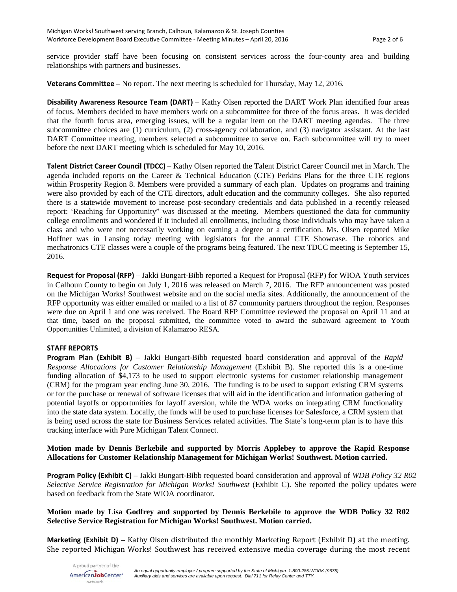service provider staff have been focusing on consistent services across the four-county area and building relationships with partners and businesses.

**Veterans Committee** – No report. The next meeting is scheduled for Thursday, May 12, 2016.

**Disability Awareness Resource Team (DART)** – Kathy Olsen reported the DART Work Plan identified four areas of focus. Members decided to have members work on a subcommittee for three of the focus areas. It was decided that the fourth focus area, emerging issues, will be a regular item on the DART meeting agendas. The three subcommittee choices are (1) curriculum, (2) cross-agency collaboration, and (3) navigator assistant. At the last DART Committee meeting, members selected a subcommittee to serve on. Each subcommittee will try to meet before the next DART meeting which is scheduled for May 10, 2016.

**Talent District Career Council (TDCC)** – Kathy Olsen reported the Talent District Career Council met in March. The agenda included reports on the Career & Technical Education (CTE) Perkins Plans for the three CTE regions within Prosperity Region 8. Members were provided a summary of each plan. Updates on programs and training were also provided by each of the CTE directors, adult education and the community colleges. She also reported there is a statewide movement to increase post-secondary credentials and data published in a recently released report: 'Reaching for Opportunity" was discussed at the meeting. Members questioned the data for community college enrollments and wondered if it included all enrollments, including those individuals who may have taken a class and who were not necessarily working on earning a degree or a certification. Ms. Olsen reported Mike Hoffner was in Lansing today meeting with legislators for the annual CTE Showcase. The robotics and mechatronics CTE classes were a couple of the programs being featured. The next TDCC meeting is September 15, 2016.

**Request for Proposal (RFP)** – Jakki Bungart-Bibb reported a Request for Proposal (RFP) for WIOA Youth services in Calhoun County to begin on July 1, 2016 was released on March 7, 2016. The RFP announcement was posted on the Michigan Works! Southwest website and on the social media sites. Additionally, the announcement of the RFP opportunity was either emailed or mailed to a list of 87 community partners throughout the region. Responses were due on April 1 and one was received. The Board RFP Committee reviewed the proposal on April 11 and at that time, based on the proposal submitted, the committee voted to award the subaward agreement to Youth Opportunities Unlimited, a division of Kalamazoo RESA.

#### **STAFF REPORTS**

**Program Plan (Exhibit B)** – Jakki Bungart-Bibb requested board consideration and approval of the *Rapid Response Allocations for Customer Relationship Management* (Exhibit B). She reported this is a one-time funding allocation of \$4,173 to be used to support electronic systems for customer relationship management (CRM) for the program year ending June 30, 2016. The funding is to be used to support existing CRM systems or for the purchase or renewal of software licenses that will aid in the identification and information gathering of potential layoffs or opportunities for layoff aversion, while the WDA works on integrating CRM functionality into the state data system. Locally, the funds will be used to purchase licenses for Salesforce, a CRM system that is being used across the state for Business Services related activities. The State's long-term plan is to have this tracking interface with Pure Michigan Talent Connect.

**Motion made by Dennis Berkebile and supported by Morris Applebey to approve the Rapid Response Allocations for Customer Relationship Management for Michigan Works! Southwest. Motion carried.** 

**Program Policy (Exhibit C)** – Jakki Bungart-Bibb requested board consideration and approval of *WDB Policy 32 R02 Selective Service Registration for Michigan Works! Southwest* (Exhibit C). She reported the policy updates were based on feedback from the State WIOA coordinator.

### **Motion made by Lisa Godfrey and supported by Dennis Berkebile to approve the WDB Policy 32 R02 Selective Service Registration for Michigan Works! Southwest. Motion carried.**

**Marketing (Exhibit D)** – Kathy Olsen distributed the monthly Marketing Report (Exhibit D) at the meeting. She reported Michigan Works! Southwest has received extensive media coverage during the most recent

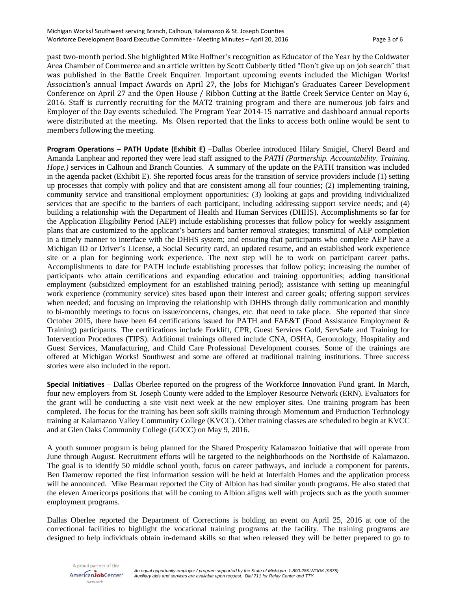past two-month period. She highlighted Mike Hoffner's recognition as Educator of the Year by the Coldwater Area Chamber of Commerce and an article written by Scott Cubberly titled "Don't give up on job search" that was published in the Battle Creek Enquirer. Important upcoming events included the Michigan Works! Association's annual Impact Awards on April 27, the Jobs for Michigan's Graduates Career Development Conference on April 27 and the Open House / Ribbon Cutting at the Battle Creek Service Center on May 6, 2016. Staff is currently recruiting for the MAT2 training program and there are numerous job fairs and Employer of the Day events scheduled. The Program Year 2014-15 narrative and dashboard annual reports were distributed at the meeting. Ms. Olsen reported that the links to access both online would be sent to members following the meeting.

**Program Operations – PATH Update (Exhibit E)** –Dallas Oberlee introduced Hilary Smigiel, Cheryl Beard and Amanda Lanphear and reported they were lead staff assigned to the *PATH (Partnership. Accountability. Training. Hope.)* services in Calhoun and Branch Counties. A summary of the update on the PATH transition was included in the agenda packet (Exhibit E). She reported focus areas for the transition of service providers include (1) setting up processes that comply with policy and that are consistent among all four counties; (2) implementing training, community service and transitional employment opportunities; (3) looking at gaps and providing individualized services that are specific to the barriers of each participant, including addressing support service needs; and (4) building a relationship with the Department of Health and Human Services (DHHS). Accomplishments so far for the Application Eligibility Period (AEP) include establishing processes that follow policy for weekly assignment plans that are customized to the applicant's barriers and barrier removal strategies; transmittal of AEP completion in a timely manner to interface with the DHHS system; and ensuring that participants who complete AEP have a Michigan ID or Driver's License, a Social Security card, an updated resume, and an established work experience site or a plan for beginning work experience. The next step will be to work on participant career paths. Accomplishments to date for PATH include establishing processes that follow policy; increasing the number of participants who attain certifications and expanding education and training opportunities; adding transitional employment (subsidized employment for an established training period); assistance with setting up meaningful work experience (community service) sites based upon their interest and career goals; offering support services when needed; and focusing on improving the relationship with DHHS through daily communication and monthly to bi-monthly meetings to focus on issue/concerns, changes, etc. that need to take place. She reported that since October 2015, there have been 64 certifications issued for PATH and FAE&T (Food Assistance Employment & Training) participants. The certifications include Forklift, CPR, Guest Services Gold, ServSafe and Training for Intervention Procedures (TIPS). Additional trainings offered include CNA, OSHA, Gerontology, Hospitality and Guest Services, Manufacturing, and Child Care Professional Development courses. Some of the trainings are offered at Michigan Works! Southwest and some are offered at traditional training institutions. Three success stories were also included in the report.

**Special Initiatives** – Dallas Oberlee reported on the progress of the Workforce Innovation Fund grant. In March, four new employers from St. Joseph County were added to the Employer Resource Network (ERN). Evaluators for the grant will be conducting a site visit next week at the new employer sites. One training program has been completed. The focus for the training has been soft skills training through Momentum and Production Technology training at Kalamazoo Valley Community College (KVCC). Other training classes are scheduled to begin at KVCC and at Glen Oaks Community College (GOCC) on May 9, 2016.

A youth summer program is being planned for the Shared Prosperity Kalamazoo Initiative that will operate from June through August. Recruitment efforts will be targeted to the neighborhoods on the Northside of Kalamazoo. The goal is to identify 50 middle school youth, focus on career pathways, and include a component for parents. Ben Damerow reported the first information session will be held at Interfaith Homes and the application process will be announced. Mike Bearman reported the City of Albion has had similar youth programs. He also stated that the eleven Americorps positions that will be coming to Albion aligns well with projects such as the youth summer employment programs.

Dallas Oberlee reported the Department of Corrections is holding an event on April 25, 2016 at one of the correctional facilities to highlight the vocational training programs at the facility. The training programs are designed to help individuals obtain in-demand skills so that when released they will be better prepared to go to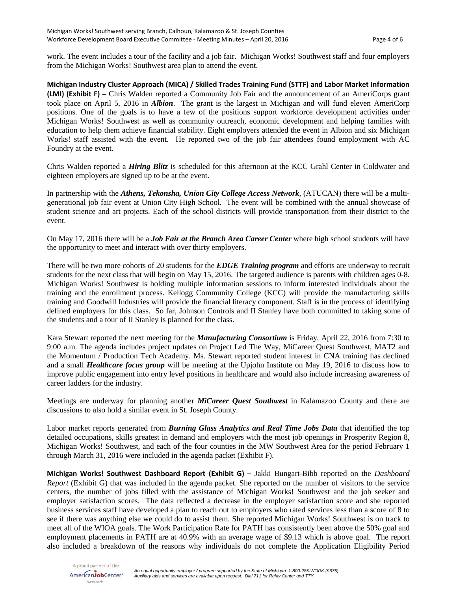work. The event includes a tour of the facility and a job fair. Michigan Works! Southwest staff and four employers from the Michigan Works! Southwest area plan to attend the event.

**Michigan Industry Cluster Approach (MICA) / Skilled Trades Training Fund (STTF) and Labor Market Information (LMI) (Exhibit F)** – Chris Walden reported a Community Job Fair and the announcement of an AmeriCorps grant took place on April 5, 2016 in *Albion*. The grant is the largest in Michigan and will fund eleven AmeriCorp positions. One of the goals is to have a few of the positions support workforce development activities under Michigan Works! Southwest as well as community outreach, economic development and helping families with education to help them achieve financial stability. Eight employers attended the event in Albion and six Michigan Works! staff assisted with the event. He reported two of the job fair attendees found employment with AC Foundry at the event.

Chris Walden reported a *Hiring Blitz* is scheduled for this afternoon at the KCC Grahl Center in Coldwater and eighteen employers are signed up to be at the event.

In partnership with the *Athens, Tekonsha, Union City College Access Network*, (ATUCAN) there will be a multigenerational job fair event at Union City High School. The event will be combined with the annual showcase of student science and art projects. Each of the school districts will provide transportation from their district to the event.

On May 17, 2016 there will be a *Job Fair at the Branch Area Career Center* where high school students will have the opportunity to meet and interact with over thirty employers.

There will be two more cohorts of 20 students for the *EDGE Training program* and efforts are underway to recruit students for the next class that will begin on May 15, 2016. The targeted audience is parents with children ages 0-8. Michigan Works! Southwest is holding multiple information sessions to inform interested individuals about the training and the enrollment process. Kellogg Community College (KCC) will provide the manufacturing skills training and Goodwill Industries will provide the financial literacy component. Staff is in the process of identifying defined employers for this class. So far, Johnson Controls and II Stanley have both committed to taking some of the students and a tour of II Stanley is planned for the class.

Kara Stewart reported the next meeting for the *Manufacturing Consortium* is Friday, April 22, 2016 from 7:30 to 9:00 a.m. The agenda includes project updates on Project Led The Way, MiCareer Quest Southwest, MAT2 and the Momentum / Production Tech Academy. Ms. Stewart reported student interest in CNA training has declined and a small *Healthcare focus group* will be meeting at the Upjohn Institute on May 19, 2016 to discuss how to improve public engagement into entry level positions in healthcare and would also include increasing awareness of career ladders for the industry.

Meetings are underway for planning another *MiCareer Quest Southwest* in Kalamazoo County and there are discussions to also hold a similar event in St. Joseph County.

Labor market reports generated from *Burning Glass Analytics and Real Time Jobs Data* that identified the top detailed occupations, skills greatest in demand and employers with the most job openings in Prosperity Region 8, Michigan Works! Southwest, and each of the four counties in the MW Southwest Area for the period February 1 through March 31, 2016 were included in the agenda packet (Exhibit F).

**Michigan Works! Southwest Dashboard Report (Exhibit G)** – Jakki Bungart-Bibb reported on the *Dashboard Report* (Exhibit G) that was included in the agenda packet. She reported on the number of visitors to the service centers, the number of jobs filled with the assistance of Michigan Works! Southwest and the job seeker and employer satisfaction scores. The data reflected a decrease in the employer satisfaction score and she reported business services staff have developed a plan to reach out to employers who rated services less than a score of 8 to see if there was anything else we could do to assist them. She reported Michigan Works! Southwest is on track to meet all of the WIOA goals. The Work Participation Rate for PATH has consistently been above the 50% goal and employment placements in PATH are at 40.9% with an average wage of \$9.13 which is above goal. The report also included a breakdown of the reasons why individuals do not complete the Application Eligibility Period

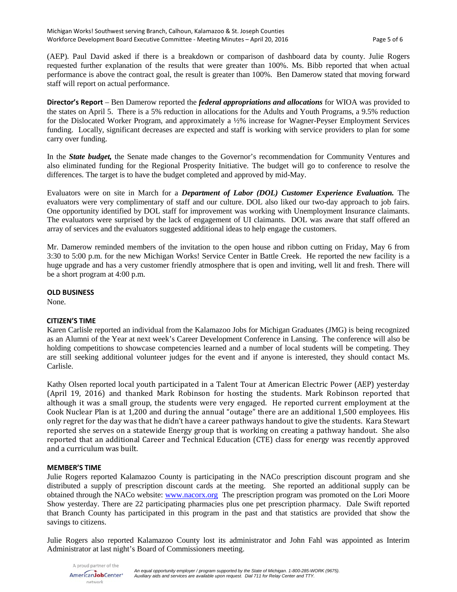(AEP). Paul David asked if there is a breakdown or comparison of dashboard data by county. Julie Rogers requested further explanation of the results that were greater than 100%. Ms. Bibb reported that when actual performance is above the contract goal, the result is greater than 100%. Ben Damerow stated that moving forward staff will report on actual performance.

**Director's Report** – Ben Damerow reported the *federal appropriations and allocations* for WIOA was provided to the states on April 5. There is a 5% reduction in allocations for the Adults and Youth Programs, a 9.5% reduction for the Dislocated Worker Program, and approximately a ½% increase for Wagner-Peyser Employment Services funding. Locally, significant decreases are expected and staff is working with service providers to plan for some carry over funding.

In the *State budget,* the Senate made changes to the Governor's recommendation for Community Ventures and also eliminated funding for the Regional Prosperity Initiative. The budget will go to conference to resolve the differences. The target is to have the budget completed and approved by mid-May.

Evaluators were on site in March for a *Department of Labor (DOL) Customer Experience Evaluation.* The evaluators were very complimentary of staff and our culture. DOL also liked our two-day approach to job fairs. One opportunity identified by DOL staff for improvement was working with Unemployment Insurance claimants. The evaluators were surprised by the lack of engagement of UI claimants. DOL was aware that staff offered an array of services and the evaluators suggested additional ideas to help engage the customers.

Mr. Damerow reminded members of the invitation to the open house and ribbon cutting on Friday, May 6 from 3:30 to 5:00 p.m. for the new Michigan Works! Service Center in Battle Creek. He reported the new facility is a huge upgrade and has a very customer friendly atmosphere that is open and inviting, well lit and fresh. There will be a short program at 4:00 p.m.

#### **OLD BUSINESS**

None.

#### **CITIZEN'S TIME**

Karen Carlisle reported an individual from the Kalamazoo Jobs for Michigan Graduates (JMG) is being recognized as an Alumni of the Year at next week's Career Development Conference in Lansing. The conference will also be holding competitions to showcase competencies learned and a number of local students will be competing. They are still seeking additional volunteer judges for the event and if anyone is interested, they should contact Ms. Carlisle.

Kathy Olsen reported local youth participated in a Talent Tour at American Electric Power (AEP) yesterday (April 19, 2016) and thanked Mark Robinson for hosting the students. Mark Robinson reported that although it was a small group, the students were very engaged. He reported current employment at the Cook Nuclear Plan is at 1,200 and during the annual "outage" there are an additional 1,500 employees. His only regret for the day was that he didn't have a career pathways handout to give the students. Kara Stewart reported she serves on a statewide Energy group that is working on creating a pathway handout. She also reported that an additional Career and Technical Education (CTE) class for energy was recently approved and a curriculum was built.

#### **MEMBER'S TIME**

Julie Rogers reported Kalamazoo County is participating in the NACo prescription discount program and she distributed a supply of prescription discount cards at the meeting. She reported an additional supply can be obtained through the NACo website: [www.nacorx.org](http://www.nacorx.org/) The prescription program was promoted on the Lori Moore Show yesterday. There are 22 participating pharmacies plus one pet prescription pharmacy. Dale Swift reported that Branch County has participated in this program in the past and that statistics are provided that show the savings to citizens.

Julie Rogers also reported Kalamazoo County lost its administrator and John Fahl was appointed as Interim Administrator at last night's Board of Commissioners meeting.